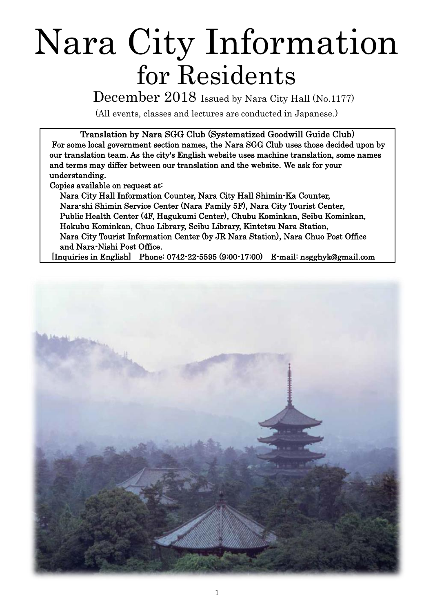# Nara City Information for Residents

December 2018 Issued by Nara City Hall (No.1177)

(All events, classes and lectures are conducted in Japanese.)

Translation by Nara SGG Club (Systematized Goodwill Guide Club) For some local government section names, the Nara SGG Club uses those decided upon by our translation team. As the city's English website uses machine translation, some names and terms may differ between our translation and the website. We ask for your understanding.

Copies available on request at:

Nara City Hall Information Counter, Nara City Hall Shimin-Ka Counter, Nara-shi Shimin Service Center (Nara Family 5F), Nara City Tourist Center, Public Health Center (4F, Hagukumi Center), Chubu Kominkan, Seibu Kominkan, Hokubu Kominkan, Chuo Library, Seibu Library, Kintetsu Nara Station, Nara City Tourist Information Center (by JR Nara Station), Nara Chuo Post Office and Nara-Nishi Post Office.

[Inquiries in English] Phone: 0742-22-5595 (9:00-17:00) E-mail: nsgghyk@gmail.com

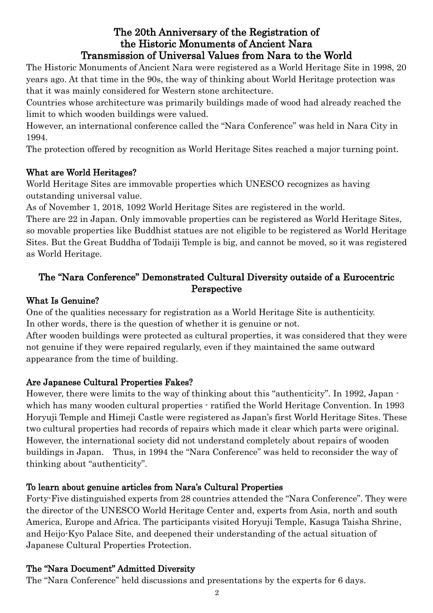## The 20th Anniversary of the Registration of the Historic Monuments of Ancient Nara Transmission of Universal Values from Nara to the World

The Historic Monuments of Ancient Nara were registered as a World Heritage Site in 1998, 20 years ago. At that time in the 90s, the way of thinking about World Heritage protection was that it was mainly considered for Western stone architecture.

Countries whose architecture was primarily buildings made of wood had already reached the limit to which wooden buildings were valued.

However, an international conference called the "Nara Conference" was held in Nara City in 1994.

The protection offered by recognition as World Heritage Sites reached a major turning point.

## What are World Heritages?

World Heritage Sites are immovable properties which UNESCO recognizes as having outstanding universal value.

As of November 1, 2018, 1092 World Heritage Sites are registered in the world.

There are 22 in Japan. Only immovable properties can be registered as World Heritage Sites, so movable properties like Buddhist statues are not eligible to be registered as World Heritage Sites. But the Great Buddha of Todaiji Temple is big, and cannot be moved, so it was registered as World Heritage.

## The "Nara Conference" Demonstrated Cultural Diversity outside of a Eurocentric Perspective

## What Is Genuine?

One of the qualities necessary for registration as a World Heritage Site is authenticity. In other words, there is the question of whether it is genuine or not.

After wooden buildings were protected as cultural properties, it was considered that they were not genuine if they were repaired regularly, even if they maintained the same outward appearance from the time of building.

## Are Japanese Cultural Properties Fakes?

However, there were limits to the way of thinking about this "authenticity". In 1992, Japan which has many wooden cultural properties  $\cdot$  ratified the World Heritage Convention. In 1993 Horyuji Temple and Himeji Castle were registered as Japan's first World Heritage Sites. These two cultural properties had records of repairs which made it clear which parts were original. However, the international society did not understand completely about repairs of wooden buildings in Japan. Thus, in 1994 the "Nara Conference" was held to reconsider the way of thinking about "authenticity".

## To learn about genuine articles from Nara's Cultural Properties

Forty-Five distinguished experts from 28 countries attended the "Nara Conference". They were the director of the UNESCO World Heritage Center and, experts from Asia, north and south America, Europe and Africa. The participants visited Horyuji Temple, Kasuga Taisha Shrine, and Heijo-Kyo Palace Site, and deepened their understanding of the actual situation of Japanese Cultural Properties Protection.

## The "Nara Document" Admitted Diversity

The "Nara Conference" held discussions and presentations by the experts for 6 days.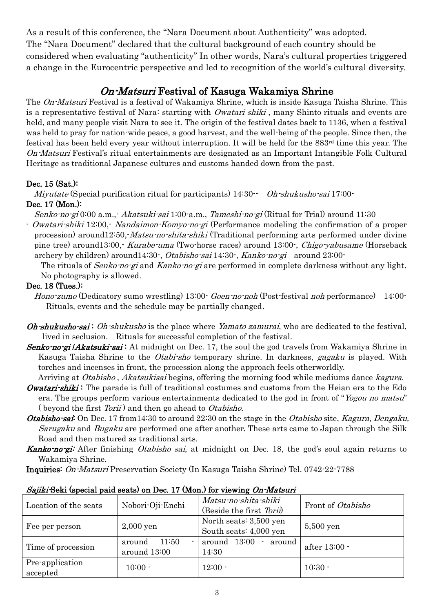As a result of this conference, the "Nara Document about Authenticity" was adopted. The "Nara Document" declared that the cultural background of each country should be considered when evaluating "authenticity" In other words, Nara's cultural properties triggered a change in the Eurocentric perspective and led to recognition of the world's cultural diversity.

# On-Matsuri Festival of Kasuga Wakamiya Shrine

The On-Matsuri Festival is a festival of Wakamiya Shrine, which is inside Kasuga Taisha Shrine. This is a representative festival of Nara: starting with *Owatari shiki*, many Shinto rituals and events are held, and many people visit Nara to see it. The origin of the festival dates back to 1136, when a festival was held to pray for nation-wide peace, a good harvest, and the well-being of the people. Since then, the festival has been held every year without interruption. It will be held for the  $883<sup>rd</sup>$  time this year. The On-Matsuri Festival's ritual entertainments are designated as an Important Intangible Folk Cultural Heritage as traditional Japanese cultures and customs handed down from the past.

## Dec. 15 (Sat.):

*Miyutate* (Special purification ritual for participants)  $14:30$   $·$  *Oh-shukusho-sai* 17:00 $·$ 

## Dec. 17 (Mon.):

Senko-no-gi 0:00 a.m.,- Akatsuki-sai 1:00-a.m., Tameshi-no-gi (Ritual for Trial) around 11:30

- *Owatari-shiki* 12:00,- *Nandaimon-Komyo-no-gi* (Performance modeling the confirmation of a proper procession) around12:50,-*Matsu-no-shita-shiki* (Traditional performing arts performed under divine pine tree) around13:00,- Kurabe-uma (Two-horse races) around 13:00-, *Chigo-yabusame* (Horseback archery by children) around14:30-, Otabisho-sai 14:30-, Kanko-no-gi around 23:00-

The rituals of *Senko-no-gi* and *Kanko-no-gi* are performed in complete darkness without any light. No photography is allowed.

## Dec. 18 (Tues.):

Hono-zumo (Dedicatory sumo wrestling) 13:00- Goen-no-noh (Post-festival noh performance) 14:00-Rituals, events and the schedule may be partially changed.

- *Oh-shukusho-sai*: *Oh-shukusho* is the place where *Yamato zamurai*, who are dedicated to the festival, lived in seclusion. Rituals for successful completion of the festival.
- **Senko-no-gi /Akatsuki-sai**: At midnight on Dec. 17, the soul the god travels from Wakamiya Shrine in Kasuga Taisha Shrine to the *Otabi-sho* temporary shrine. In darkness, *gagaku* is played. With torches and incenses in front, the procession along the approach feels otherworldly.

Arriving at Otabisho, Akatsukisai begins, offering the morning food while mediums dance kagura.

- **Owatari-shiki**: The parade is full of traditional costumes and customs from the Heian era to the Edo era. The groups perform various entertainments dedicated to the god in front of "Yogou no matsu" ( beyond the first *Torii*) and then go ahead to *Otabisho*.
- **Otabisho-sai:** On Dec. 17 from 14:30 to around 22:30 on the stage in the Otabisho site, Kagura, Dengaku, Sarugaku and Bugaku are performed one after another. These arts came to Japan through the Silk Road and then matured as traditional arts.

Kanko-no-gi: After finishing Otabisho sai, at midnight on Dec. 18, the god's soul again returns to Wakamiya Shrine.

Inquiries: On-Matsuri Preservation Society (In Kasuga Taisha Shrine) Tel. 0742-22-7788

| Location of the seats       | Nobori-Oji-Enchi                                  | Matsu-no-shita-shiki<br>(Beside the first Torii) | Front of Otabisho |
|-----------------------------|---------------------------------------------------|--------------------------------------------------|-------------------|
| Fee per person              | $2,000$ yen                                       | North seats: 3,500 yen<br>South seats: 4,000 yen | $5,500$ yen       |
| Time of procession          | 11:50<br>around<br>$\blacksquare$<br>around 13:00 | around 13:00<br>around<br>14:30                  | after 13:00 -     |
| Pre-application<br>accepted | $10:00 -$                                         | $12:00 -$                                        | $10:30 -$         |

#### Sajiki-Seki (special paid seats) on Dec. 17 (Mon.) for viewing On-Matsuri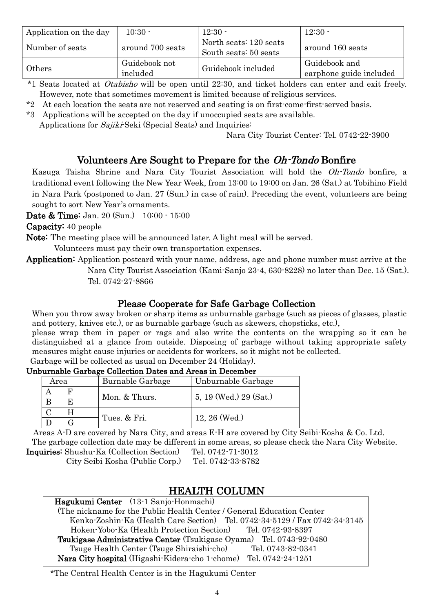| Application on the day | $10:30 -$                 | $12:30 -$                                       | $12:30 -$                                |
|------------------------|---------------------------|-------------------------------------------------|------------------------------------------|
| Number of seats        | around 700 seats          | North seats: 120 seats<br>South seats: 50 seats | around 160 seats                         |
| Others                 | Guidebook not<br>included | Guidebook included                              | Guidebook and<br>earphone guide included |

\*1 Seats located at Otabisho will be open until 22:30, and ticket holders can enter and exit freely. However, note that sometimes movement is limited because of religious services.

- \*2 At each location the seats are not reserved and seating is on first-come-first-served basis.
- \*3 Applications will be accepted on the day if unoccupied seats are available.

Applications for *Sajiki*-Seki (Special Seats) and Inquiries:

Nara City Tourist Center: Tel. 0742-22-3900

## Volunteers Are Sought to Prepare for the Oh-Tondo Bonfire

Kasuga Taisha Shrine and Nara City Tourist Association will hold the Oh-Tondo bonfire, a traditional event following the New Year Week, from 13:00 to 19:00 on Jan. 26 (Sat.) at Tobihino Field in Nara Park (postponed to Jan. 27 (Sun.) in case of rain). Preceding the event, volunteers are being sought to sort New Year's ornaments.

Date & Time: Jan. 20 (Sun.) 10:00 - 15:00

Capacity: 40 people

Note: The meeting place will be announced later. A light meal will be served.

Volunteers must pay their own transportation expenses.

Application: Application postcard with your name, address, age and phone number must arrive at the

Nara City Tourist Association (Kami-Sanjo 23-4, 630-8228) no later than Dec. 15 (Sat.). Tel. 0742-27-8866

## Please Cooperate for Safe Garbage Collection

When you throw away broken or sharp items as unburnable garbage (such as pieces of glasses, plastic and pottery, knives etc.), or as burnable garbage (such as skewers, chopsticks, etc.),

please wrap them in paper or rags and also write the contents on the wrapping so it can be distinguished at a glance from outside. Disposing of garbage without taking appropriate safety measures might cause injuries or accidents for workers, so it might not be collected. Garbage will be collected as usual on December 24 (Holiday).

#### Unburnable Garbage Collection Dates and Areas in December

| Area |    | Burnable Garbage | Unburnable Garbage     |
|------|----|------------------|------------------------|
|      |    |                  | 5, 19 (Wed.) 29 (Sat.) |
|      | F. | Mon. & Thurs.    |                        |
|      |    |                  |                        |
|      |    | Tues. & Fri.     | $12, 26$ (Wed.)        |

Areas A-D are covered by Nara City, and areas E-H are covered by City Seibi-Kosha & Co. Ltd. The garbage collection date may be different in some areas, so please check the Nara City Website.

Inquiries: Shushu-Ka (Collection Section) Tel. 0742-71-3012

City Seibi Kosha (Public Corp.) Tel. 0742-33-8782

## HEALTH COLUMN

Hagukumi Center (13-1 Sanjo-Honmachi) (The nickname for the Public Health Center / General Education Center Kenko-Zoshin-Ka (Health Care Section) Tel. 0742-34-5129 / Fax 0742-34-3145 Hoken-Yobo-Ka (Health Protection Section) Tel. 0742-93-8397 Tsukigase Administrative Center (Tsukigase Oyama) Tel. 0743-92-0480 Tsuge Health Center (Tsuge Shiraishi-cho) Tel. 0743-82-0341 Nara City hospital (Higashi-Kidera-cho 1-chome) Tel. 0742-24-1251

#### \*The Central Health Center is in the Hagukumi Center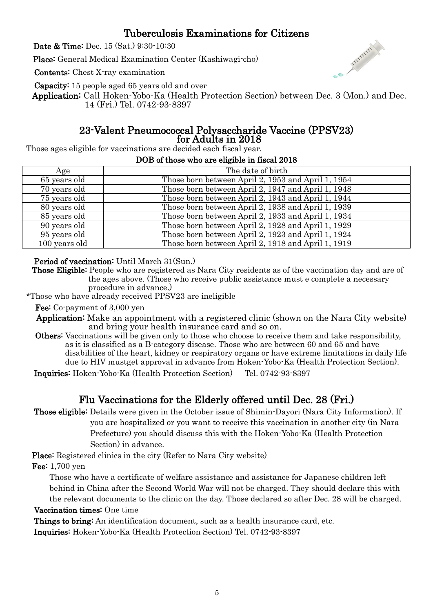# Tuberculosis Examinations for Citizens

Date & Time: Dec. 15 (Sat.) 9:30-10:30

Place: General Medical Examination Center (Kashiwagi-cho)

Contents: Chest X-ray examination

Capacity: 15 people aged 65 years old and over

Application: Call Hoken-Yobo-Ka (Health Protection Section) between Dec. 3 (Mon.) and Dec. 14 (Fri.) Tel. 0742-93-8397

#### 23-Valent Pneumococcal Polysaccharide Vaccine (PPSV23) for Adults in 2018

Those ages eligible for vaccinations are decided each fiscal year.

#### DOB of those who are eligible in fiscal 2018

| Age           | The date of birth                                  |
|---------------|----------------------------------------------------|
| 65 years old  | Those born between April 2, 1953 and April 1, 1954 |
| 70 years old  | Those born between April 2, 1947 and April 1, 1948 |
| 75 years old  | Those born between April 2, 1943 and April 1, 1944 |
| 80 years old  | Those born between April 2, 1938 and April 1, 1939 |
| 85 years old  | Those born between April 2, 1933 and April 1, 1934 |
| 90 years old  | Those born between April 2, 1928 and April 1, 1929 |
| 95 years old  | Those born between April 2, 1923 and April 1, 1924 |
| 100 years old | Those born between April 2, 1918 and April 1, 1919 |

#### Period of vaccination: Until March 31(Sun.)

Those Eligible: People who are registered as Nara City residents as of the vaccination day and are of the ages above. (Those who receive public assistance must e complete a necessary procedure in advance.)

\*Those who have already received PPSV23 are ineligible

Fee: Co-payment of 3,000 yen

- Application: Make an appointment with a registered clinic (shown on the Nara City website) and bring your health insurance card and so on.
- Others: Vaccinations will be given only to those who choose to receive them and take responsibility, as it is classified as a B-category disease. Those who are between 60 and 65 and have disabilities of the heart, kidney or respiratory organs or have extreme limitations in daily life due to HIV mustget approval in advance from Hoken-Yobo-Ka (Health Protection Section).

Inquiries: Hoken-Yobo-Ka (Health Protection Section) Tel. 0742-93-8397

## Flu Vaccinations for the Elderly offered until Dec. 28 (Fri.)

 Those eligible: Details were given in the October issue of Shimin-Dayori (Nara City Information). If you are hospitalized or you want to receive this vaccination in another city (in Nara Prefecture) you should discuss this with the Hoken-Yobo-Ka (Health Protection Section) in advance.

Place: Registered clinics in the city (Refer to Nara City website)

Fee: 1,700 yen

Those who have a certificate of welfare assistance and assistance for Japanese children left behind in China after the Second World War will not be charged. They should declare this with the relevant documents to the clinic on the day. Those declared so after Dec. 28 will be charged.

Vaccination times: One time

 Things to bring: An identification document, such as a health insurance card, etc. Inquiries: Hoken-Yobo-Ka (Health Protection Section) Tel. 0742-93-8397

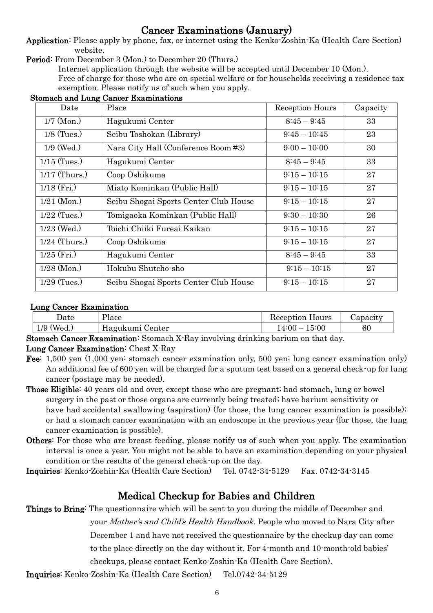# Cancer Examinations (January)

Application: Please apply by phone, fax, or internet using the Kenko-Zoshin-Ka (Health Care Section) website.

Period: From December 3 (Mon.) to December 20 (Thurs.)

Internet application through the website will be accepted until December 10 (Mon.).

Free of charge for those who are on special welfare or for households receiving a residence tax exemption. Please notify us of such when you apply.

| Date            | Place                                 | Reception Hours | Capacity |
|-----------------|---------------------------------------|-----------------|----------|
| $1/7$ (Mon.)    | Hagukumi Center                       | $8:45 - 9:45$   | 33       |
| $1/8$ (Tues.)   | Seibu Toshokan (Library)              | $9:45-10:45$    | 23       |
| $1/9$ (Wed.)    | Nara City Hall (Conference Room #3)   | $9:00 - 10:00$  | 30       |
| $1/15$ (Tues.)  | Hagukumi Center                       | $8:45 - 9:45$   | 33       |
| $1/17$ (Thurs.) | Coop Oshikuma                         | $9:15 - 10:15$  | 27       |
| $1/18$ (Fri.)   | Miato Kominkan (Public Hall)          | $9:15 - 10:15$  | 27       |
| $1/21$ (Mon.)   | Seibu Shogai Sports Center Club House | $9:15 - 10:15$  | 27       |
| $1/22$ (Tues.)  | Tomigaoka Kominkan (Public Hall)      | $9:30 - 10:30$  | 26       |
| $1/23$ (Wed.)   | Toichi Chiiki Fureai Kaikan           | $9:15 - 10:15$  | 27       |
| $1/24$ (Thurs.) | Coop Oshikuma                         | $9:15 - 10:15$  | 27       |
| $1/25$ (Fri.)   | Hagukumi Center                       | $8:45 - 9:45$   | 33       |
| $1/28$ (Mon.)   | Hokubu Shutcho-sho                    | $9:15 - 10:15$  | 27       |
| $1/29$ (Tues.)  | Seibu Shogai Sports Center Club House | $9:15 - 10:15$  | 27       |

#### Stomach and Lung Cancer Examinations

#### Lung Cancer Examination

| Jate                    | Ylace           | Reception Hours    | Capacity |
|-------------------------|-----------------|--------------------|----------|
| 1/9<br>$^{\prime}$ Wed. | Hagukumi Center | 15:00<br>$14:00-7$ | 60       |

Stomach Cancer Examination: Stomach X-Ray involving drinking barium on that day.

#### Lung Cancer Examination: Chest X-Ray

- Fee: 1,500 yen (1,000 yen: stomach cancer examination only, 500 yen: lung cancer examination only) An additional fee of 600 yen will be charged for a sputum test based on a general check-up for lung cancer (postage may be needed).
- Those Eligible: 40 years old and over, except those who are pregnant; had stomach, lung or bowel surgery in the past or those organs are currently being treated; have barium sensitivity or have had accidental swallowing (aspiration) (for those, the lung cancer examination is possible); or had a stomach cancer examination with an endoscope in the previous year (for those, the lung cancer examination is possible).
- Others: For those who are breast feeding, please notify us of such when you apply. The examination interval is once a year. You might not be able to have an examination depending on your physical condition or the results of the general check-up on the day.

Inquiries: Kenko-Zoshin-Ka (Health Care Section) Tel. 0742-34-5129 Fax. 0742-34-3145

# Medical Checkup for Babies and Children

Things to Bring: The questionnaire which will be sent to you during the middle of December and

your Mother's and Child's Health Handbook. People who moved to Nara City after

December 1 and have not received the questionnaire by the checkup day can come

to the place directly on the day without it. For 4-month and 10-month-old babies'

checkups, please contact Kenko-Zoshin-Ka (Health Care Section).

Inquiries: Kenko-Zoshin-Ka (Health Care Section) Tel.0742-34-5129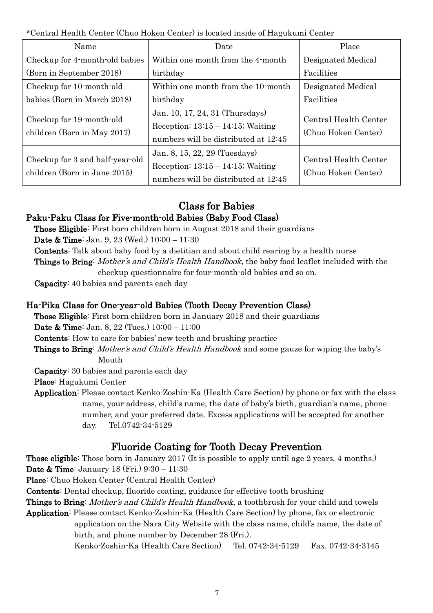\*Central Health Center (Chuo Hoken Center) is located inside of Hagukumi Center

| Name                                                            | Date                                                                                                            | Place                                        |
|-----------------------------------------------------------------|-----------------------------------------------------------------------------------------------------------------|----------------------------------------------|
| Checkup for 4-month-old babies                                  | Within one month from the 4-month                                                                               | Designated Medical                           |
| (Born in September 2018)                                        | birthday                                                                                                        | Facilities                                   |
| Checkup for 10-month-old                                        | Within one month from the 10-month                                                                              | Designated Medical                           |
| babies (Born in March 2018)                                     | birthday                                                                                                        | Facilities                                   |
| Checkup for 19-month-old<br>children (Born in May 2017)         | Jan. 10, 17, 24, 31 (Thursdays)<br>Reception: $13:15 - 14:15$ ; Waiting<br>numbers will be distributed at 12:45 | Central Health Center<br>(Chuo Hoken Center) |
| Checkup for 3 and half-year-old<br>children (Born in June 2015) | Jan. 8, 15, 22, 29 (Tuesdays)<br>Reception: $13:15 - 14:15$ ; Waiting<br>numbers will be distributed at 12:45   | Central Health Center<br>(Chuo Hoken Center) |

## Class for Babies

## Paku-Paku Class for Five-month-old Babies (Baby Food Class)

Those Eligible: First born children born in August 2018 and their guardians

Date & Time: Jan. 9, 23 (Wed.) 10:00 – 11:30

Contents: Talk about baby food by a dietitian and about child rearing by a health nurse

Things to Bring: Mother's and Child's Health Handbook, the baby food leaflet included with the checkup questionnaire for four-month-old babies and so on.

Capacity: 40 babies and parents each day

## Ha-Pika Class for One-year-old Babies (Tooth Decay Prevention Class)

Those Eligible: First born children born in January 2018 and their guardians

Date & Time: Jan. 8, 22 (Tues.) 10:00 – 11:00

Contents: How to care for babies' new teeth and brushing practice

Things to Bring: Mother's and Child's Health Handbook and some gauze for wiping the baby's Mouth

Capacity: 30 babies and parents each day

Place: Hagukumi Center

Application: Please contact Kenko-Zoshin-Ka (Health Care Section) by phone or fax with the class name, your address, child's name, the date of baby's birth, guardian's name, phone number, and your preferred date. Excess applications will be accepted for another day. Tel.0742-34-5129

# Fluoride Coating for Tooth Decay Prevention

Those eligible: Those born in January 2017 (It is possible to apply until age 2 years, 4 months.) Date & Time: January 18 (Fri.) 9:30 – 11:30

Place: Chuo Hoken Center (Central Health Center)

Contents: Dental checkup, fluoride coating, guidance for effective tooth brushing

Things to Bring: Mother's and Child's Health Handbook, a toothbrush for your child and towels

Application: Please contact Kenko-Zoshin-Ka (Health Care Section) by phone, fax or electronic application on the Nara City Website with the class name, child's name, the date of birth, and phone number by December 28 (Fri.).

Kenko-Zoshin-Ka (Health Care Section) Tel. 0742-34-5129 Fax. 0742-34-3145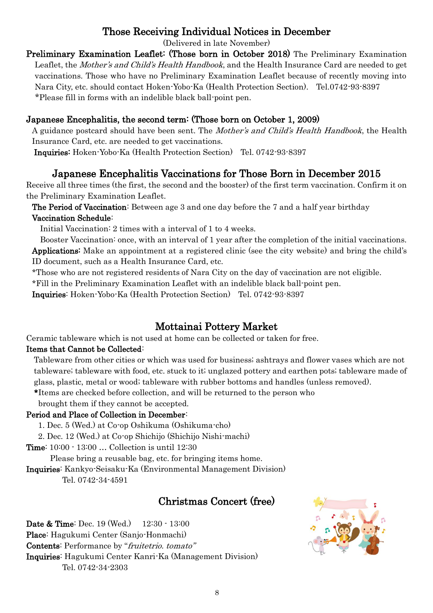# Those Receiving Individual Notices in December

(Delivered in late November)

Preliminary Examination Leaflet: (Those born in October 2018) The Preliminary Examination Leaflet, the Mother's and Child's Health Handbook, and the Health Insurance Card are needed to get vaccinations. Those who have no Preliminary Examination Leaflet because of recently moving into Nara City, etc. should contact Hoken-Yobo-Ka (Health Protection Section). Tel.0742-93-8397 \*Please fill in forms with an indelible black ball-point pen.

## Japanese Encephalitis, the second term: (Those born on October 1, 2009)

A guidance postcard should have been sent. The Mother's and Child's Health Handbook, the Health Insurance Card, etc. are needed to get vaccinations.

Inquiries: Hoken-Yobo-Ka (Health Protection Section) Tel. 0742-93-8397

## Japanese Encephalitis Vaccinations for Those Born in December 2015

Receive all three times (the first, the second and the booster) of the first term vaccination. Confirm it on the Preliminary Examination Leaflet.

The Period of Vaccination: Between age 3 and one day before the 7 and a half year birthday Vaccination Schedule:

Initial Vaccination: 2 times with a interval of 1 to 4 weeks.

Booster Vaccination: once, with an interval of 1 year after the completion of the initial vaccinations. Applications: Make an appointment at a registered clinic (see the city website) and bring the child's ID document, such as a Health Insurance Card, etc.

\*Those who are not registered residents of Nara City on the day of vaccination are not eligible.

\*Fill in the Preliminary Examination Leaflet with an indelible black ball-point pen.

Inquiries: Hoken-Yobo-Ka (Health Protection Section) Tel. 0742-93-8397

# Mottainai Pottery Market

Ceramic tableware which is not used at home can be collected or taken for free.

## Items that Cannot be Collected:

Tableware from other cities or which was used for business; ashtrays and flower vases which are not tableware; tableware with food, etc. stuck to it; unglazed pottery and earthen pots; tableware made of glass, plastic, metal or wood; tableware with rubber bottoms and handles (unless removed).

\*Items are checked before collection, and will be returned to the person who

brought them if they cannot be accepted.

#### Period and Place of Collection in December:

1. Dec. 5 (Wed.) at Co-op Oshikuma (Oshikuma-cho)

2. Dec. 12 (Wed.) at Co-op Shichijo (Shichijo Nishi-machi)

Time: 10:00 - 13:00 … Collection is until 12:30

Please bring a reusable bag, etc. for bringing items home.

Inquiries: Kankyo-Seisaku-Ka (Environmental Management Division)

Tel. 0742-34-4591

# Christmas Concert (free)

Date & Time: Dec. 19 (Wed.) 12:30 - 13:00 Place: Hagukumi Center (Sanjo-Honmachi) Contents: Performance by "fruitetrio. tomato" Inquiries: Hagukumi Center Kanri-Ka (Management Division) Tel. 0742-34-2303

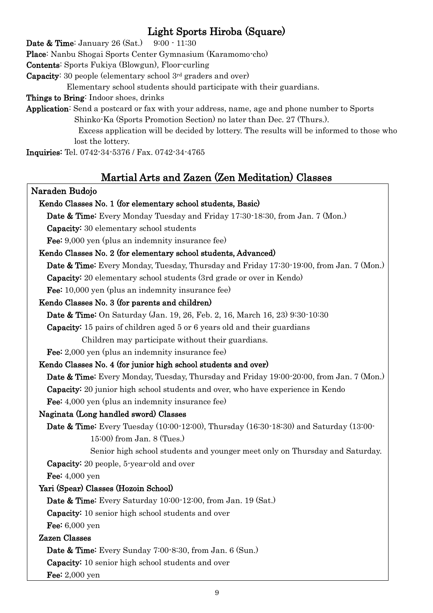# Light Sports Hiroba (Square)

**Date & Time:** January 26 (Sat.) 9:00 - 11:30

Place: Nanbu Shogai Sports Center Gymnasium (Karamomo-cho)

Contents: Sports Fukiya (Blowgun), Floor-curling

Capacity: 30 people (elementary school 3rd graders and over)

Elementary school students should participate with their guardians.

Things to Bring: Indoor shoes, drinks

Application: Send a postcard or fax with your address, name, age and phone number to Sports Shinko-Ka (Sports Promotion Section) no later than Dec. 27 (Thurs.).

> Excess application will be decided by lottery. The results will be informed to those who lost the lottery.

Inquiries: Tel. 0742-34-5376 / Fax. 0742-34-4765

# Martial Arts and Zazen (Zen Meditation) Classes

#### Naraden Budojo

# Kendo Classes No. 1 (for elementary school students, Basic) Date & Time: Every Monday Tuesday and Friday 17:30-18:30, from Jan. 7 (Mon.) Capacity: 30 elementary school students Fee: 9,000 yen (plus an indemnity insurance fee)

## Kendo Classes No. 2 (for elementary school students, Advanced)

Date & Time: Every Monday, Tuesday, Thursday and Friday 17:30-19:00, from Jan. 7 (Mon.) Capacity: 20 elementary school students (3rd grade or over in Kendo)

Fee: 10,000 yen (plus an indemnity insurance fee)

## Kendo Classes No. 3 (for parents and children)

Date & Time: On Saturday (Jan. 19, 26, Feb. 2, 16, March 16, 23) 9:30-10:30

Capacity: 15 pairs of children aged 5 or 6 years old and their guardians

Children may participate without their guardians.

Fee: 2,000 yen (plus an indemnity insurance fee)

## Kendo Classes No. 4 (for junior high school students and over)

Date & Time: Every Monday, Tuesday, Thursday and Friday 19:00-20:00, from Jan. 7 (Mon.) Capacity: 20 junior high school students and over, who have experience in Kendo Fee: 4,000 yen (plus an indemnity insurance fee)

## Naginata (Long handled sword) Classes

Date & Time: Every Tuesday (10:00-12:00), Thursday (16:30-18:30) and Saturday (13:00- 15:00) from Jan. 8 (Tues.)

Senior high school students and younger meet only on Thursday and Saturday. Capacity: 20 people, 5-year-old and over

**Fee:** 4,000 yen

## Yari (Spear) Classes (Hozoin School)

Date & Time: Every Saturday 10:00-12:00, from Jan. 19 (Sat.)

Capacity: 10 senior high school students and over

Fee: 6,000 yen

## Zazen Classes

Date & Time: Every Sunday 7:00-8:30, from Jan. 6 (Sun.)

Capacity: 10 senior high school students and over

**Fee:** 2,000 yen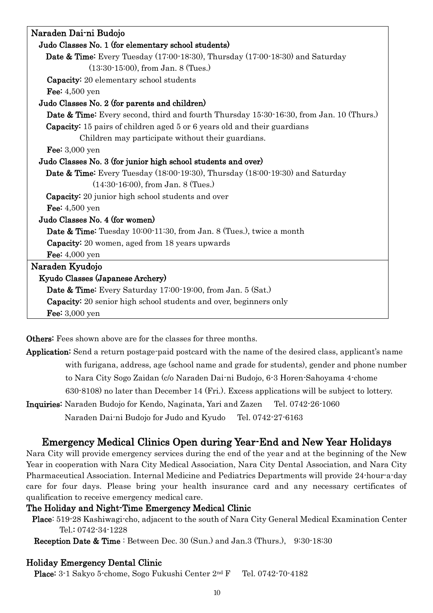| Naraden Dai-ni Budojo                                                                              |
|----------------------------------------------------------------------------------------------------|
| Judo Classes No. 1 (for elementary school students)                                                |
| <b>Date &amp; Time:</b> Every Tuesday (17:00-18:30), Thursday (17:00-18:30) and Saturday           |
| $(13:30-15:00)$ , from Jan. 8 (Tues.)                                                              |
| <b>Capacity:</b> 20 elementary school students                                                     |
| Fee: $4,500$ yen                                                                                   |
| Judo Classes No. 2 (for parents and children)                                                      |
| <b>Date &amp; Time:</b> Every second, third and fourth Thursday 15:30-16:30, from Jan. 10 (Thurs.) |
| Capacity: 15 pairs of children aged 5 or 6 years old and their guardians                           |
| Children may participate without their guardians.                                                  |
| Fee: $3,000$ yen                                                                                   |
| Judo Classes No. 3 (for junior high school students and over)                                      |
| Date & Time: Every Tuesday (18:00-19:30), Thursday (18:00-19:30) and Saturday                      |
| $(14:30-16:00)$ , from Jan. 8 (Tues.)                                                              |
| <b>Capacity:</b> 20 junior high school students and over                                           |
| Fee: $4,500$ yen                                                                                   |
| Judo Classes No. 4 (for women)                                                                     |
| <b>Date &amp; Time:</b> Tuesday 10:00-11:30, from Jan. 8 (Tues.), twice a month                    |
| <b>Capacity:</b> 20 women, aged from 18 years upwards                                              |
| Fee: $4,000$ yen                                                                                   |
| Naraden Kyudojo                                                                                    |
| Kyudo Classes (Japanese Archery)                                                                   |
| <b>Date &amp; Time:</b> Every Saturday 17:00-19:00, from Jan. 5 (Sat.)                             |
| <b>Capacity:</b> 20 senior high school students and over, beginners only                           |
| Fee: $3,000$ yen                                                                                   |

Others: Fees shown above are for the classes for three months.

Application: Send a return postage-paid postcard with the name of the desired class, applicant's name with furigana, address, age (school name and grade for students), gender and phone number to Nara City Sogo Zaidan (c/o Naraden Dai-ni Budojo, 6-3 Horen-Sahoyama 4-chome 630-8108) no later than December 14 (Fri.). Excess applications will be subject to lottery.

Inquiries: Naraden Budojo for Kendo, Naginata, Yari and Zazen Tel. 0742-26-1060 Naraden Dai-ni Budojo for Judo and Kyudo Tel. 0742-27-6163

## Emergency Medical Clinics Open during Year-End and New Year Holidays

Nara City will provide emergency services during the end of the year and at the beginning of the New Year in cooperation with Nara City Medical Association, Nara City Dental Association, and Nara City Pharmaceutical Association. Internal Medicine and Pediatrics Departments will provide 24-hour-a-day care for four days. Please bring your health insurance card and any necessary certificates of qualification to receive emergency medical care.

#### The Holiday and Night-Time Emergency Medical Clinic

Place: 519-28 Kashiwagi-cho, adjacent to the south of Nara City General Medical Examination Center Tel.: 0742-34-1228

Reception Date & Time : Between Dec. 30 (Sun.) and Jan.3 (Thurs.), 9:30-18:30

## Holiday Emergency Dental Clinic

Place: 3-1 Sakyo 5-chome, Sogo Fukushi Center 2<sup>nd</sup> F Tel. 0742-70-4182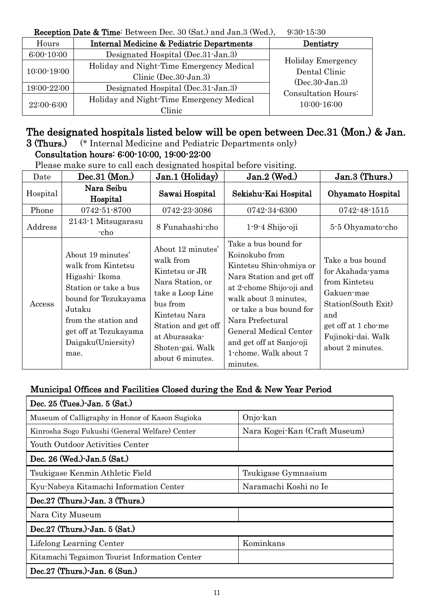#### Reception Date & Time: Between Dec. 30 (Sat.) and Jan.3 (Wed.), 9:30-15:30

| <b>Troop was Dave to This Decaded Dec.</b> So your, and said $\langle \text{max}\rangle$<br>00 JU JU JU |                                                                   |                                         |  |  |
|---------------------------------------------------------------------------------------------------------|-------------------------------------------------------------------|-----------------------------------------|--|--|
| Hours                                                                                                   | <b>Internal Medicine &amp; Pediatric Departments</b>              | Dentistry                               |  |  |
| $6:00-10:00$                                                                                            | Designated Hospital (Dec.31-Jan.3)                                |                                         |  |  |
| 10:00-19:00                                                                                             | Holiday and Night-Time Emergency Medical<br>Clinic (Dec.30-Jan.3) | Holiday Emergency<br>Dental Clinic      |  |  |
| 19:00-22:00                                                                                             | Designated Hospital (Dec. 31 - Jan. 3)                            | $(Dec.30-Jan.3)$<br>Consultation Hours: |  |  |
| 22:00-6:00                                                                                              | Holiday and Night-Time Emergency Medical<br>Clinic                | 10:00-16:00                             |  |  |

## The designated hospitals listed below will be open between Dec.31 (Mon.) & Jan.

3 (Thurs.) (\* Internal Medicine and Pediatric Departments only)

## Consultation hours: 6:00-10:00, 19:00-22:00

Please make sure to call each designated hospital before visiting.

| Date     | $Dec.31$ (Mon.)                                                                                                                                                                                    | Jan.1 (Holiday)                                                                                                                                                                                       | $Jan.2$ (Wed.)                                                                                                                                                                                                                                                                               | Jan.3 (Thurs.)                                                                                                                                                     |
|----------|----------------------------------------------------------------------------------------------------------------------------------------------------------------------------------------------------|-------------------------------------------------------------------------------------------------------------------------------------------------------------------------------------------------------|----------------------------------------------------------------------------------------------------------------------------------------------------------------------------------------------------------------------------------------------------------------------------------------------|--------------------------------------------------------------------------------------------------------------------------------------------------------------------|
| Hospital | Nara Seibu<br>Hospital                                                                                                                                                                             | Sawai Hospital                                                                                                                                                                                        | Sekishu-Kai Hospital                                                                                                                                                                                                                                                                         | Ohyamato Hospital                                                                                                                                                  |
| Phone    | 0742-51-8700                                                                                                                                                                                       | 0742-23-3086                                                                                                                                                                                          | 0742-34-6300                                                                                                                                                                                                                                                                                 | 0742-48-1515                                                                                                                                                       |
| Address  | 2143-1 Mitsugarasu<br>-cho                                                                                                                                                                         | 8 Funahashi-cho                                                                                                                                                                                       | $1-9-4$ Shijo-oji                                                                                                                                                                                                                                                                            | 5-5 Ohyamato-cho                                                                                                                                                   |
| Access   | About 19 minutes'<br>walk from Kintetsu<br>Higashi Ikoma<br>Station or take a bus<br>bound for Tezukayama<br>Jutaku<br>from the station and<br>get off at Tezukayama<br>Daigaku(Uniersity)<br>mae. | About 12 minutes'<br>walk from<br>Kintetsu or JR<br>Nara Station, or<br>take a Loop Line<br>bus from<br>Kintetsu Nara<br>Station and get off<br>at Aburasaka-<br>Shoten-gai. Walk<br>about 6 minutes. | Take a bus bound for<br>Koinokubo from<br>Kintetsu Shin-ohmiya or<br>Nara Station and get off<br>at 2-chome Shijo-oji and<br>walk about 3 minutes,<br>or take a bus bound for<br>Nara Prefectural<br>General Medical Center<br>and get off at Sanjo-oji<br>1-chome. Walk about 7<br>minutes. | Take a bus bound<br>for Akahada-yama<br>from Kintetsu<br>Gakuen-mae<br>Station (South Exit)<br>and<br>get off at 1 chome<br>Fujinoki-dai. Walk<br>about 2 minutes. |

## Municipal Offices and Facilities Closed during the End & New Year Period

| Dec. 25 (Tues.)-Jan. 5 (Sat.)                                    |                               |  |  |  |
|------------------------------------------------------------------|-------------------------------|--|--|--|
| Museum of Calligraphy in Honor of Kason Sugioka                  | Onjo-kan                      |  |  |  |
| Kinrosha Sogo Fukushi (General Welfare) Center                   | Nara Kogei-Kan (Craft Museum) |  |  |  |
| Youth Outdoor Activities Center                                  |                               |  |  |  |
| Dec. 26 (Wed.)-Jan.5 (Sat.)                                      |                               |  |  |  |
| Tsukigase Kenmin Athletic Field                                  | Tsukigase Gymnasium           |  |  |  |
| Naramachi Koshi no Ie<br>Kyu-Nabeya Kitamachi Information Center |                               |  |  |  |
| Dec.27 (Thurs.)-Jan. 3 (Thurs.)                                  |                               |  |  |  |
| Nara City Museum                                                 |                               |  |  |  |
| Dec.27 (Thurs.)-Jan. 5 (Sat.)                                    |                               |  |  |  |
| Lifelong Learning Center                                         | Kominkans                     |  |  |  |
| Kitamachi Tegaimon Tourist Information Center                    |                               |  |  |  |
| Dec. $27$ (Thurs.) Jan. $6$ (Sun.)                               |                               |  |  |  |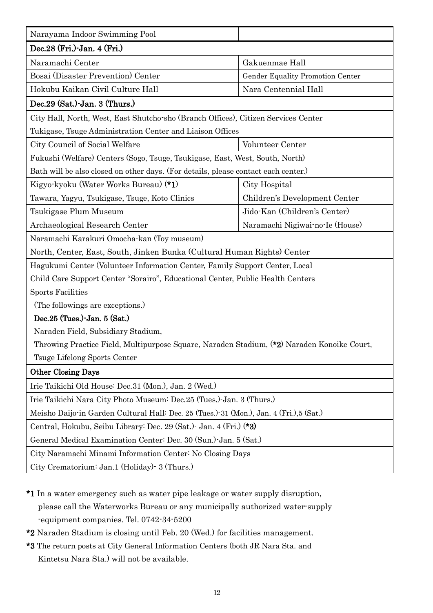| Narayama Indoor Swimming Pool                                                              |                                  |  |  |
|--------------------------------------------------------------------------------------------|----------------------------------|--|--|
| Dec.28 (Fri.)-Jan. 4 (Fri.)                                                                |                                  |  |  |
| Naramachi Center                                                                           | Gakuenmae Hall                   |  |  |
| Bosai (Disaster Prevention) Center                                                         | Gender Equality Promotion Center |  |  |
| Hokubu Kaikan Civil Culture Hall                                                           | Nara Centennial Hall             |  |  |
| Dec.29 (Sat.)-Jan. 3 (Thurs.)                                                              |                                  |  |  |
| City Hall, North, West, East Shutcho-sho (Branch Offices), Citizen Services Center         |                                  |  |  |
| Tukigase, Tsuge Administration Center and Liaison Offices                                  |                                  |  |  |
| City Council of Social Welfare                                                             | Volunteer Center                 |  |  |
| Fukushi (Welfare) Centers (Sogo, Tsuge, Tsukigase, East, West, South, North)               |                                  |  |  |
| Bath will be also closed on other days. (For details, please contact each center.)         |                                  |  |  |
| Kigyo-kyoku (Water Works Bureau) (*1)                                                      | City Hospital                    |  |  |
| Tawara, Yagyu, Tsukigase, Tsuge, Koto Clinics                                              | Children's Development Center    |  |  |
| Tsukigase Plum Museum                                                                      | Jido-Kan (Children's Center)     |  |  |
| Archaeological Research Center                                                             | Naramachi Nigiwai-no-Ie (House)  |  |  |
| Naramachi Karakuri Omocha-kan (Toy museum)                                                 |                                  |  |  |
| North, Center, East, South, Jinken Bunka (Cultural Human Rights) Center                    |                                  |  |  |
| Hagukumi Center (Volunteer Information Center, Family Support Center, Local                |                                  |  |  |
| Child Care Support Center "Sorairo", Educational Center, Public Health Centers             |                                  |  |  |
| <b>Sports Facilities</b>                                                                   |                                  |  |  |
| (The followings are exceptions.)                                                           |                                  |  |  |
| Dec.25 (Tues.)-Jan. 5 (Sat.)                                                               |                                  |  |  |
| Naraden Field, Subsidiary Stadium,                                                         |                                  |  |  |
| Throwing Practice Field, Multipurpose Square, Naraden Stadium, (*2) Naraden Konoike Court, |                                  |  |  |
| Tsuge Lifelong Sports Center                                                               |                                  |  |  |
| <b>Other Closing Days</b>                                                                  |                                  |  |  |
| Irie Taikichi Old House: Dec.31 (Mon.), Jan. 2 (Wed.)                                      |                                  |  |  |
| Irie Taikichi Nara City Photo Museum: Dec. 25 (Tues.) Jan. 3 (Thurs.)                      |                                  |  |  |
| Meisho Daijo in Garden Cultural Hall: Dec. 25 (Tues.) 31 (Mon.), Jan. 4 (Fri.), 5 (Sat.)   |                                  |  |  |
| Central, Hokubu, Seibu Library: Dec. 29 (Sat.) Jan. 4 (Fri.) (*3)                          |                                  |  |  |
| General Medical Examination Center: Dec. 30 (Sun.)-Jan. 5 (Sat.)                           |                                  |  |  |
| City Naramachi Minami Information Center: No Closing Days                                  |                                  |  |  |
| City Crematorium: Jan.1 (Holiday) 3 (Thurs.)                                               |                                  |  |  |

- \*1 In a water emergency such as water pipe leakage or water supply disruption, please call the Waterworks Bureau or any municipally authorized water-supply -equipment companies. Tel. 0742-34-5200
- \*2 Naraden Stadium is closing until Feb. 20 (Wed.) for facilities management.
- \*3 The return posts at City General Information Centers (both JR Nara Sta. and Kintetsu Nara Sta.) will not be available.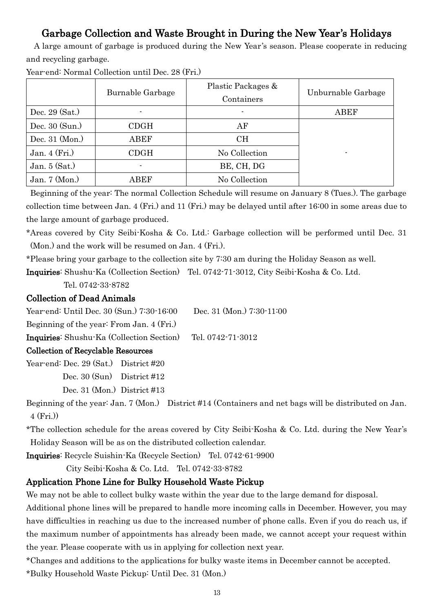# Garbage Collection and Waste Brought in During the New Year's Holidays

 A large amount of garbage is produced during the New Year's season. Please cooperate in reducing and recycling garbage.

|                            | Burnable Garbage | Plastic Packages &<br>Containers | Unburnable Garbage |
|----------------------------|------------------|----------------------------------|--------------------|
| Dec. 29 (Sat.)             |                  |                                  | ${\rm ABEF}$       |
| Dec. 30 (Sun.)             | CDGH             | AF                               |                    |
| Dec. $31 \, (\text{Mon.})$ | ABEF             | <b>CH</b>                        |                    |
| Jan. $4$ (Fri.)            | CDGH             | No Collection                    | ۰                  |
| Jan. $5$ (Sat.)            | ۰.               | BE, CH, DG                       |                    |
| Jan. $7 \times (Mon.)$     | ABEF             | No Collection                    |                    |

Year-end: Normal Collection until Dec. 28 (Fri.)

Beginning of the year: The normal Collection Schedule will resume on January 8 (Tues.). The garbage collection time between Jan. 4 (Fri.) and 11 (Fri.) may be delayed until after 16:00 in some areas due to the large amount of garbage produced.

\*Areas covered by City Seibi-Kosha & Co. Ltd.: Garbage collection will be performed until Dec. 31 (Mon.) and the work will be resumed on Jan. 4 (Fri.).

\*Please bring your garbage to the collection site by 7:30 am during the Holiday Season as well.

Inquiries: Shushu-Ka (Collection Section) Tel. 0742-71-3012, City Seibi-Kosha & Co. Ltd.

Tel. 0742-33-8782

#### Collection of Dead Animals

Year-end: Until Dec. 30 (Sun.) 7:30-16:00 Dec. 31 (Mon.) 7:30-11:00 Beginning of the year: From Jan. 4 (Fri.) Inquiries: Shushu-Ka (Collection Section) Tel. 0742-71-3012

## Collection of Recyclable Resources

Year-end: Dec. 29 (Sat.) District #20 Dec. 30 (Sun) District #12 Dec. 31 (Mon.) District #13

Beginning of the year: Jan. 7 (Mon.) District #14 (Containers and net bags will be distributed on Jan. 4 (Fri.))

\*The collection schedule for the areas covered by City Seibi-Kosha & Co. Ltd. during the New Year's Holiday Season will be as on the distributed collection calendar.

Inquiries: Recycle Suishin-Ka (Recycle Section) Tel. 0742-61-9900

City Seibi-Kosha & Co. Ltd. Tel. 0742-33-8782

## Application Phone Line for Bulky Household Waste Pickup

We may not be able to collect bulky waste within the year due to the large demand for disposal.

Additional phone lines will be prepared to handle more incoming calls in December. However, you may have difficulties in reaching us due to the increased number of phone calls. Even if you do reach us, if the maximum number of appointments has already been made, we cannot accept your request within the year. Please cooperate with us in applying for collection next year.

\*Changes and additions to the applications for bulky waste items in December cannot be accepted.

\*Bulky Household Waste Pickup: Until Dec. 31 (Mon.)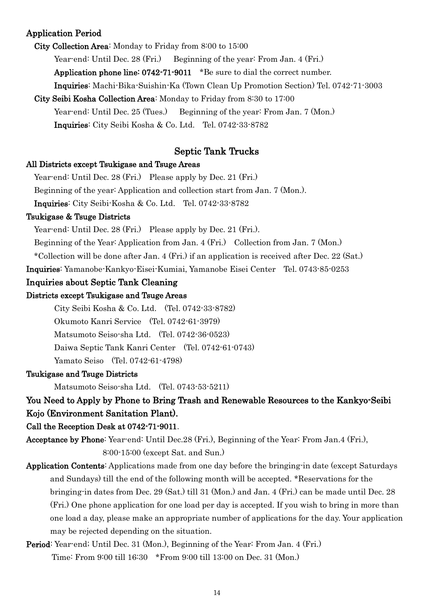#### Application Period

City Collection Area: Monday to Friday from 8:00 to 15:00

Year-end: Until Dec. 28 (Fri.) Beginning of the year: From Jan. 4 (Fri.)

Application phone line: 0742-71-9011 \*Be sure to dial the correct number.

Inquiries: Machi-Bika-Suishin-Ka (Town Clean Up Promotion Section) Tel. 0742-71-3003

City Seibi Kosha Collection Area: Monday to Friday from 8:30 to 17:00

Year-end: Until Dec. 25 (Tues.) Beginning of the year: From Jan. 7 (Mon.)

Inquiries: City Seibi Kosha & Co. Ltd. Tel. 0742-33-8782

#### Septic Tank Trucks

#### All Districts except Tsukigase and Tsuge Areas

Year-end: Until Dec. 28 (Fri.) Please apply by Dec. 21 (Fri.)

Beginning of the year: Application and collection start from Jan. 7 (Mon.).

Inquiries: City Seibi-Kosha & Co. Ltd. Tel. 0742-33-8782

#### Tsukigase & Tsuge Districts

Year-end: Until Dec. 28 (Fri.) Please apply by Dec. 21 (Fri.).

Beginning of the Year: Application from Jan. 4 (Fri.) Collection from Jan. 7 (Mon.)

\*Collection will be done after Jan. 4 (Fri.) if an application is received after Dec. 22 (Sat.)

Inquiries: Yamanobe-Kankyo-Eisei-Kumiai, Yamanobe Eisei Center Tel. 0743-85-0253

#### Inquiries about Septic Tank Cleaning

#### Districts except Tsukigase and Tsuge Areas

City Seibi Kosha & Co. Ltd. (Tel. 0742-33-8782)

Okumoto Kanri Service (Tel. 0742-61-3979)

Matsumoto Seiso-sha Ltd. (Tel. 0742-36-0523)

Daiwa Septic Tank Kanri Center (Tel. 0742-61-0743)

Yamato Seiso (Tel. 0742-61-4798)

#### Tsukigase and Tsuge Districts

Matsumoto Seiso-sha Ltd. (Tel. 0743-53-5211)

#### You Need to Apply by Phone to Bring Trash and Renewable Resources to the Kankyo-Seibi Kojo (Environment Sanitation Plant).

#### Call the Reception Desk at 0742-71-9011.

Acceptance by Phone: Year-end: Until Dec.28 (Fri.), Beginning of the Year: From Jan.4 (Fri.), 8:00-15:00 (except Sat. and Sun.)

Application Contents: Applications made from one day before the bringing-in date (except Saturdays and Sundays) till the end of the following month will be accepted. \*Reservations for the bringing-in dates from Dec. 29 (Sat.) till 31 (Mon.) and Jan. 4 (Fri.) can be made until Dec. 28 (Fri.) One phone application for one load per day is accepted. If you wish to bring in more than one load a day, please make an appropriate number of applications for the day. Your application may be rejected depending on the situation.

## Period: Year-end; Until Dec. 31 (Mon.), Beginning of the Year: From Jan. 4 (Fri.) Time: From 9:00 till 16:30 \*From 9:00 till 13:00 on Dec. 31 (Mon.)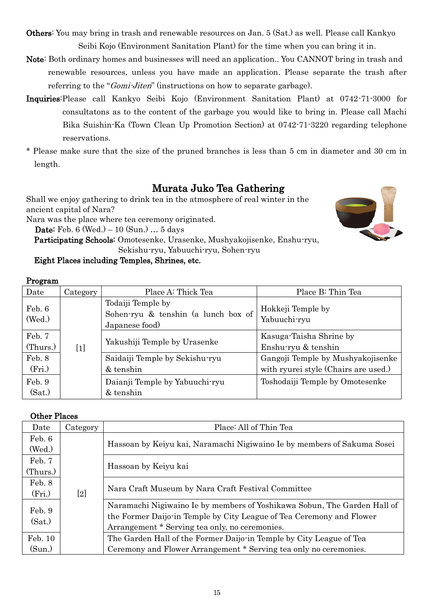- Others: You may bring in trash and renewable resources on Jan. 5 (Sat.) as well. Please call Kankyo Seibi Kojo (Environment Sanitation Plant) for the time when you can bring it in.
- Note: Both ordinary homes and businesses will need an application.. You CANNOT bring in trash and renewable resources, unless you have made an application. Please separate the trash after referring to the "*Gomi-Jiten*" (instructions on how to separate garbage).
- Inquiries:Please call Kankyo Seibi Kojo (Environment Sanitation Plant) at 0742-71-3000 for consultatons as to the content of the garbage you would like to bring in. Please call Machi Bika Suishin-Ka (Town Clean Up Promotion Section) at 0742-71-3220 regarding telephone reservations.
- \* Please make sure that the size of the pruned branches is less than 5 cm in diameter and 30 cm in length.

# Murata Juko Tea Gathering

Shall we enjoy gathering to drink tea in the atmosphere of real winter in the ancient capital of Nara?

Nara was the place where tea ceremony originated.

Date: Feb. 6 (Wed.) – 10 (Sun.) … 5 days

 Participating Schools: Omotesenke, Urasenke, Mushyakojisenke, Enshu-ryu, Sekishu-ryu, Yabuuchi-ryu, Sohen-ryu

#### Eight Places including Temples, Shrines, etc.

#### Program

| Date               | Category | Place A: Thick Tea                                                         | Place B: Thin Tea                                                         |
|--------------------|----------|----------------------------------------------------------------------------|---------------------------------------------------------------------------|
| Feb. 6<br>(Wed.)   |          | Todaiji Temple by<br>Sohen-ryu & tenshin (a lunch box of<br>Japanese food) | Hokkeji Temple by<br>Yabuuchi-ryu                                         |
| Feb. 7<br>(Thurs.) | $[1]$    | Yakushiji Temple by Urasenke                                               | Kasuga-Taisha Shrine by<br>Enshu-ryu & tenshin                            |
| Feb. 8<br>(Fri.)   |          | Saidaiji Temple by Sekishu-ryu<br>& tenshin                                | Gangoji Temple by Mushyakojisenke<br>with ryurei style (Chairs are used.) |
| Feb. 9<br>(Sat.)   |          | Daianji Temple by Yabuuchi-ryu<br>& tenshin                                | Toshodaiji Temple by Omotesenke                                           |

#### Other Places

| Date               | Category | Place: All of Thin Tea                                                                                                                                                                             |
|--------------------|----------|----------------------------------------------------------------------------------------------------------------------------------------------------------------------------------------------------|
| Feb. 6<br>(Wed.)   |          | Hassoan by Keiyu kai, Naramachi Nigiwaino Ie by members of Sakuma Sosei                                                                                                                            |
| Feb. 7<br>(Thurs.) |          | Hassoan by Keiyu kai                                                                                                                                                                               |
| Feb. 8<br>(Fri.)   | $[2]$    | Nara Craft Museum by Nara Craft Festival Committee                                                                                                                                                 |
| Feb. 9<br>(Sat.)   |          | Naramachi Nigiwaino Ie by members of Yoshikawa Sobun, The Garden Hall of<br>the Former Daijo-in Temple by City League of Tea Ceremony and Flower<br>Arrangement * Serving tea only, no ceremonies. |
| Feb. 10            |          | The Garden Hall of the Former Daijo-in Temple by City League of Tea                                                                                                                                |
| (Sun.)             |          | Ceremony and Flower Arrangement * Serving tea only no ceremonies.                                                                                                                                  |